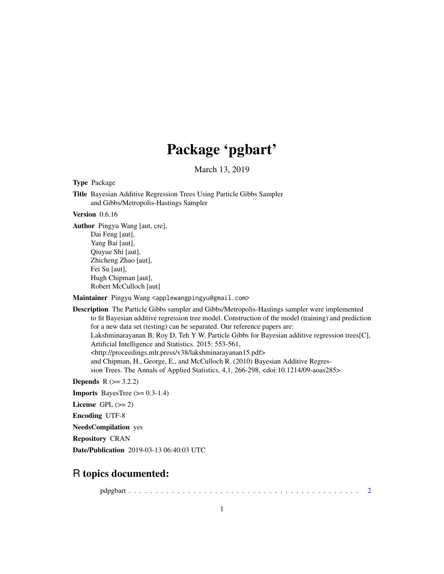## Package 'pgbart'

March 13, 2019

<span id="page-0-0"></span>Type Package

Title Bayesian Additive Regression Trees Using Particle Gibbs Sampler and Gibbs/Metropolis-Hastings Sampler

Version 0.6.16

Author Pingyu Wang [aut, cre], Dai Feng [aut], Yang Bai [aut], Qiuyue Shi [aut], Zhicheng Zhao [aut], Fei Su [aut], Hugh Chipman [aut],

Robert McCulloch [aut]

Maintainer Pingyu Wang <applewangpingyu@gmail.com>

Description The Particle Gibbs sampler and Gibbs/Metropolis-Hastings sampler were implemented to fit Bayesian additive regression tree model. Construction of the model (training) and prediction for a new data set (testing) can be separated. Our reference papers are: Lakshminarayanan B, Roy D, Teh Y W. Particle Gibbs for Bayesian additive regression trees[C], Artificial Intelligence and Statistics. 2015: 553-561, <http://proceedings.mlr.press/v38/lakshminarayanan15.pdf> and Chipman, H., George, E., and McCulloch R. (2010) Bayesian Additive Regression Trees. The Annals of Applied Statistics, 4,1, 266-298, <doi:10.1214/09-aoas285>.

**Depends**  $R$  ( $> = 3.2.2$ )

**Imports** BayesTree  $(>= 0.3-1.4)$ 

License GPL  $(>= 2)$ 

Encoding UTF-8

NeedsCompilation yes

Repository CRAN

Date/Publication 2019-03-13 06:40:03 UTC

## R topics documented:

pdpgbart . . . . . . . . . . . . . . . . . . . . . . . . . . . . . . . . . . . . . . . . . . . [2](#page-1-0)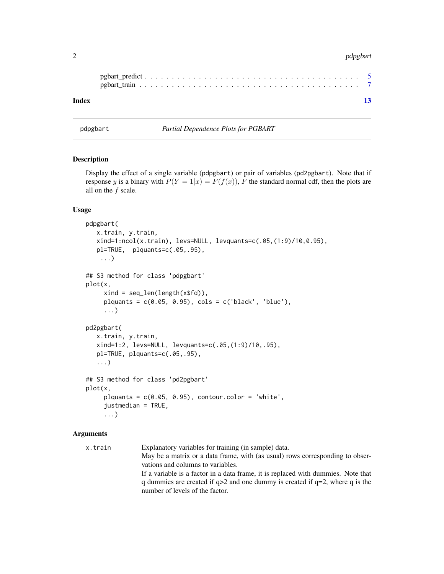#### <span id="page-1-0"></span>2 pdpgbart 2 pdpgbart 2 pdpgbart 2 pdpgbart 2 pdpgbart 2 pdpgbart 2 pdpgbart 2 pdpgbart 2 pdpgbart 2 pdpgbart

| Index |  |  |  |  |  |  |  |  |  |  |  |  |  |  |  |  |  |  |
|-------|--|--|--|--|--|--|--|--|--|--|--|--|--|--|--|--|--|--|

<span id="page-1-1"></span>pdpgbart *Partial Dependence Plots for PGBART*

#### Description

Display the effect of a single variable (pdpgbart) or pair of variables (pd2pgbart). Note that if response y is a binary with  $P(Y = 1|x) = F(f(x))$ , F the standard normal cdf, then the plots are all on the  $f$  scale.

#### Usage

```
pdpgbart(
   x.train, y.train,
   xind=1:ncol(x.train), levs=NULL, levquants=c(.05,(1:9)/10,0.95),
   pl=TRUE, plquants=c(.05,.95),
    ...)
## S3 method for class 'pdpgbart'
plot(x,
     xind = seq_length(x $fd)),
     plquants = c(0.05, 0.95), \ncols = c('black', 'blue'),...)
pd2pgbart(
   x.train, y.train,
   xind=1:2, levs=NULL, levquants=c(.05,(1:9)/10,.95),
   pl=TRUE, plquants=c(.05,.95),
   ...)
## S3 method for class 'pd2pgbart'
plot(x,
     plquants = c(0.05, 0.95), contour.color = 'white',
     justmedian = TRUE,
     ...)
```
#### Arguments

| x.train | Explanatory variables for training (in sample) data.                              |
|---------|-----------------------------------------------------------------------------------|
|         | May be a matrix or a data frame, with (as usual) rows corresponding to obser-     |
|         | vations and columns to variables.                                                 |
|         | If a variable is a factor in a data frame, it is replaced with dummies. Note that |
|         | q dummies are created if $q>2$ and one dummy is created if $q=2$ , where q is the |
|         | number of levels of the factor.                                                   |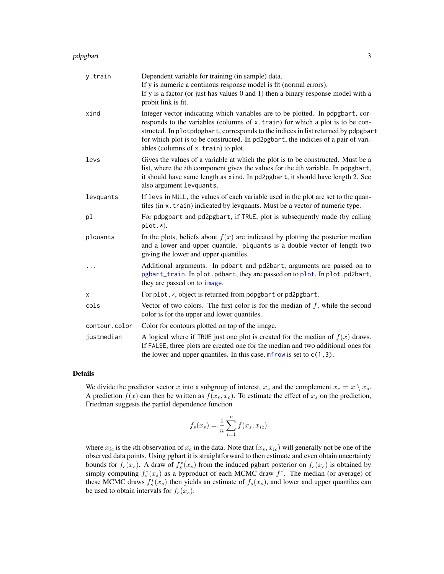#### <span id="page-2-0"></span>pdpgbart 33 and 33 and 33 and 33 and 33 and 33 and 33 and 33 and 33 and 33 and 33 and 33 and 33 and 33 and 33 and 33 and 33 and 33 and 33 and 33 and 33 and 33 and 33 and 33 and 33 and 33 and 33 and 33 and 33 and 33 and 33

| y.train       | Dependent variable for training (in sample) data.                                                                                                                                                                                                                                                                                                                                  |
|---------------|------------------------------------------------------------------------------------------------------------------------------------------------------------------------------------------------------------------------------------------------------------------------------------------------------------------------------------------------------------------------------------|
|               | If y is numeric a continous response model is fit (normal errors).<br>If $y$ is a factor (or just has values 0 and 1) then a binary response model with a                                                                                                                                                                                                                          |
|               | probit link is fit.                                                                                                                                                                                                                                                                                                                                                                |
| xind          | Integer vector indicating which variables are to be plotted. In pdpgbart, cor-<br>responds to the variables (columns of x.train) for which a plot is to be con-<br>structed. In plotpdpgbart, corresponds to the indices in list returned by pdpgbart<br>for which plot is to be constructed. In pd2pgbart, the indicies of a pair of vari-<br>ables (columns of x.train) to plot. |
| levs          | Gives the values of a variable at which the plot is to be constructed. Must be a<br>list, where the <i>i</i> th component gives the values for the <i>i</i> th variable. In pdpgbart,<br>it should have same length as xind. In pd2pgbart, it should have length 2. See<br>also argument levquants.                                                                                |
| levquants     | If levs in NULL, the values of each variable used in the plot are set to the quan-<br>tiles (in x. train) indicated by levquants. Must be a vector of numeric type.                                                                                                                                                                                                                |
| pl            | For pdpgbart and pd2pgbart, if TRUE, plot is subsequently made (by calling<br>$plot.*).$                                                                                                                                                                                                                                                                                           |
| plquants      | In the plots, beliefs about $f(x)$ are indicated by plotting the posterior median<br>and a lower and upper quantile. plquants is a double vector of length two<br>giving the lower and upper quantiles.                                                                                                                                                                            |
| .             | Additional arguments. In pdbart and pd2bart, arguments are passed on to<br>pgbart_train. In plot.pdbart, they are passed on to plot. In plot.pd2bart,<br>they are passed on to image.                                                                                                                                                                                              |
| X             | For plot.*, object is returned from pdpgbart or pd2pgbart.                                                                                                                                                                                                                                                                                                                         |
| cols          | Vector of two colors. The first color is for the median of $f$ , while the second<br>color is for the upper and lower quantiles.                                                                                                                                                                                                                                                   |
| contour.color | Color for contours plotted on top of the image.                                                                                                                                                                                                                                                                                                                                    |
| justmedian    | A logical where if TRUE just one plot is created for the median of $f(x)$ draws.<br>If FALSE, three plots are created one for the median and two additional ones for<br>the lower and upper quantiles. In this case, $m$ frow is set to $c(1, 3)$ .                                                                                                                                |

#### Details

We divide the predictor vector x into a subgroup of interest,  $x_s$  and the complement  $x_c = x \setminus x_s$ . A prediction  $f(x)$  can then be written as  $f(x_s, x_c)$ . To estimate the effect of  $x_s$  on the prediction, Friedman suggests the partial dependence function

$$
f_s(x_s) = \frac{1}{n} \sum_{i=1}^{n} f(x_s, x_{ic})
$$

where  $x_{ic}$  is the *i*th observation of  $x_c$  in the data. Note that  $(x_s, x_{ic})$  will generally not be one of the observed data points. Using pgbart it is straightforward to then estimate and even obtain uncertainty bounds for  $f_s(x_s)$ . A draw of  $f_s^*(x_s)$  from the induced pgbart posterior on  $f_s(x_s)$  is obtained by simply computing  $f_s^*(x_s)$  as a byproduct of each MCMC draw  $f^*$ . The median (or average) of these MCMC draws  $f_s^*(x_s)$  then yields an estimate of  $f_s(x_s)$ , and lower and upper quantiles can be used to obtain intervals for  $f_s(x_s)$ .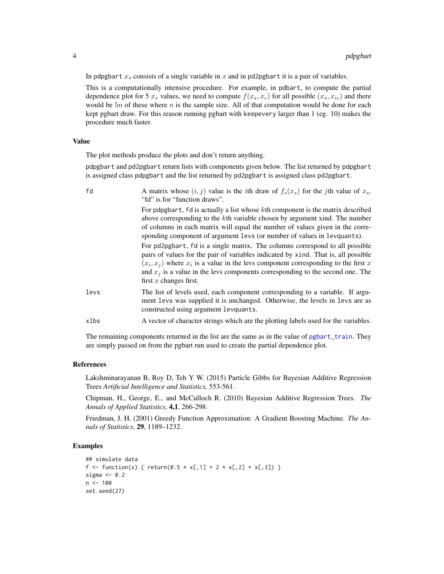In pdpgbart  $x_s$  consists of a single variable in x and in pd2pgbart it is a pair of variables.

This is a computationally intensive procedure. For example, in pdbart, to compute the partial dependence plot for 5  $x_s$  values, we need to compute  $f(x_s, x_c)$  for all possible  $(x_s, x_{ic})$  and there would be  $5n$  of these where n is the sample size. All of that computation would be done for each kept pgbart draw. For this reason running pgbart with keepevery larger than 1 (eg. 10) makes the procedure much faster.

#### Value

The plot methods produce the plots and don't return anything.

pdpgbart and pd2pgbart return lists with components given below. The list returned by pdpgbart is assigned class pdpgbart and the list returned by pd2pgbart is assigned class pd2pgbart.

| fd   | A matrix whose $(i, j)$ value is the <i>i</i> th draw of $f_s(x_s)$ for the <i>j</i> th value of $x_s$ .<br>"fd" is for "function draws".                                                                                                                                                                                                                                     |
|------|-------------------------------------------------------------------------------------------------------------------------------------------------------------------------------------------------------------------------------------------------------------------------------------------------------------------------------------------------------------------------------|
|      | For pdpgbart, fd is actually a list whose kth component is the matrix described<br>above corresponding to the kth variable chosen by argument xind. The number<br>of columns in each matrix will equal the number of values given in the corre-<br>sponding component of argument levs (or number of values in levquants).                                                    |
|      | For pd2pgbart, fd is a single matrix. The columns correspond to all possible<br>pairs of values for the pair of variables indicated by x ind. That is, all possible<br>$(x_i, x_j)$ where $x_i$ is a value in the levs component corresponding to the first x<br>and $x_i$ is a value in the levs components corresponding to the second one. The<br>first $x$ changes first. |
| levs | The list of levels used, each component corresponding to a variable. If argu-<br>ment levs was supplied it is unchanged. Otherwise, the levels in levs are as<br>constructed using argument levquants.                                                                                                                                                                        |
| xlbs | A vector of character strings which are the plotting labels used for the variables.                                                                                                                                                                                                                                                                                           |

The remaining components returned in the list are the same as in the value of [pgbart\\_train](#page-6-1). They are simply passed on from the pgbart run used to create the partial dependence plot.

#### References

Lakshminarayanan B, Roy D, Teh Y W. (2015) Particle Gibbs for Bayesian Additive Regression Trees *Artificial Intelligence and Statistics*, 553-561.

Chipman, H., George, E., and McCulloch R. (2010) Bayesian Additive Regression Trees. *The Annals of Applied Statistics*, 4,1, 266-298.

Friedman, J. H. (2001) Greedy Function Approximation: A Gradient Boosting Machine. *The Annals of Statistics*, 29, 1189–1232.

#### Examples

```
## simulate data
f <- function(x) { return(0.5 * x[,1] + 2 * x[,2] * x[,3]) }
sigma <-0.2n < - 100set.seed(27)
```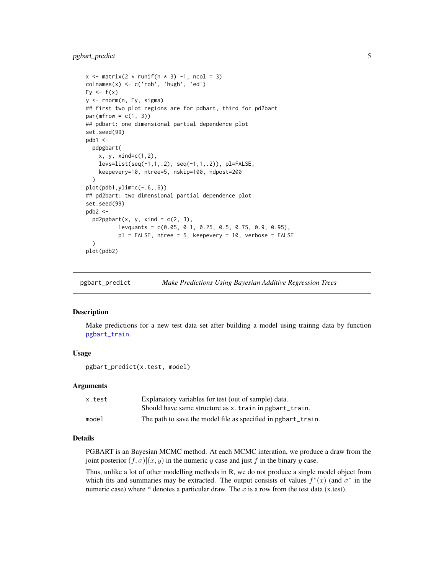#### <span id="page-4-0"></span>pgbart\_predict 5

```
x \le - matrix(2 * runif(n * 3) -1, ncol = 3)
\text{colnames}(x) \leq c('rob', 'hugh', 'ed')Ey \leftarrow f(x)y <- rnorm(n, Ey, sigma)
## first two plot regions are for pdbart, third for pd2bart
par(mfrow = c(1, 3))## pdbart: one dimensional partial dependence plot
set.seed(99)
pdb1 <-
  pdpgbart(
    x, y, xind=c(1,2),
    levs=list(seq(-1,1,.2), seq(-1,1,.2)), pl=FALSE,
    keepevery=10, ntree=5, nskip=100, ndpost=200
  )
plot(pdb1,ylim=c(-.6,.6))
## pd2bart: two dimensional partial dependence plot
set.seed(99)
pdb2 < -pd2pgbart(x, y, xind = c(2, 3),levquants = c(0.05, 0.1, 0.25, 0.5, 0.75, 0.9, 0.95),
          pl = FALSE, ntree = 5, keepevery = 10, verbose = FALSE
  )
plot(pdb2)
```
pgbart\_predict *Make Predictions Using Bayesian Additive Regression Trees*

#### **Description**

Make predictions for a new test data set after building a model using trainng data by function [pgbart\\_train](#page-6-1).

#### Usage

pgbart\_predict(x.test, model)

#### Arguments

| x.test | Explanatory variables for test (out of sample) data.          |
|--------|---------------------------------------------------------------|
|        | Should have same structure as x. train in pgbart_train.       |
| model  | The path to save the model file as specified in pgbart_train. |

#### Details

PGBART is an Bayesian MCMC method. At each MCMC interation, we produce a draw from the joint posterior  $(f, \sigma) | (x, y)$  in the numeric y case and just f in the binary y case.

Thus, unlike a lot of other modelling methods in R, we do not produce a single model object from which fits and summaries may be extracted. The output consists of values  $f^*(x)$  (and  $\sigma^*$  in the numeric case) where  $*$  denotes a particular draw. The x is a row from the test data (x.test).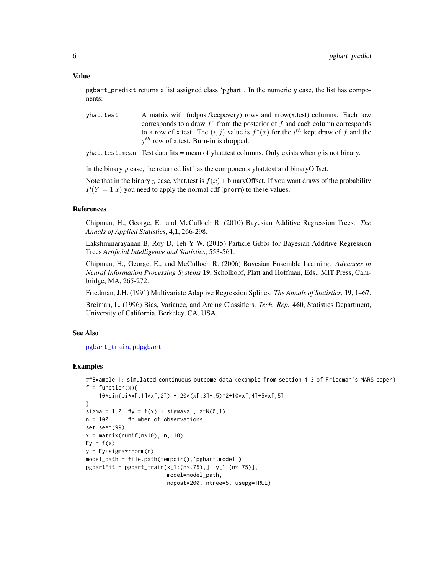#### <span id="page-5-0"></span>Value

pgbart\_predict returns a list assigned class 'pgbart'. In the numeric  $y$  case, the list has components:

yhat.test A matrix with (ndpost/keepevery) rows and  $nrow(x.test)$  columns. Each row corresponds to a draw  $f^*$  from the posterior of  $f$  and each column corresponds to a row of x.test. The  $(i, j)$  value is  $f^*(x)$  for the  $i^{th}$  kept draw of f and the  $j<sup>th</sup>$  row of x.test. Burn-in is dropped.

yhat. test. mean Test data fits = mean of yhat.test columns. Only exists when  $y$  is not binary.

In the binary  $y$  case, the returned list has the components yhat.test and binaryOffset.

Note that in the binary y case, yhat.test is  $f(x)$  + binaryOffset. If you want draws of the probability  $P(Y = 1|x)$  you need to apply the normal cdf (pnorm) to these values.

#### References

Chipman, H., George, E., and McCulloch R. (2010) Bayesian Additive Regression Trees. *The Annals of Applied Statistics*, 4,1, 266-298.

Lakshminarayanan B, Roy D, Teh Y W. (2015) Particle Gibbs for Bayesian Additive Regression Trees *Artificial Intelligence and Statistics*, 553-561.

Chipman, H., George, E., and McCulloch R. (2006) Bayesian Ensemble Learning. *Advances in Neural Information Processing Systems* 19, Scholkopf, Platt and Hoffman, Eds., MIT Press, Cambridge, MA, 265-272.

Friedman, J.H. (1991) Multivariate Adaptive Regression Splines. *The Annals of Statistics*, 19, 1–67.

Breiman, L. (1996) Bias, Variance, and Arcing Classifiers. *Tech. Rep.* 460, Statistics Department, University of California, Berkeley, CA, USA.

#### See Also

[pgbart\\_train](#page-6-1), [pdpgbart](#page-1-1)

#### Examples

```
##Example 1: simulated continuous outcome data (example from section 4.3 of Friedman's MARS paper)
f = function(x)10*sin(pix)[,1]*x[,2]) + 20*(x[,3]-.5)^2+10*x[,4]+5*x[,5]}
sigma = 1.0 #y = f(x) + \text{sigma}x, z \sim N(0, 1)n = 100 #number of observations
set.seed(99)
x = matrix(runit(n*10), n, 10)Ey = f(x)y = Ey+sigma*rnorm(n)
model_path = file.path(tempdir(),'pgbart.model')
pgbartFit = pgbart_train(x[1:(n*.75),], y[1:(n*.75)],model=model_path,
                         ndpost=200, ntree=5, usepg=TRUE)
```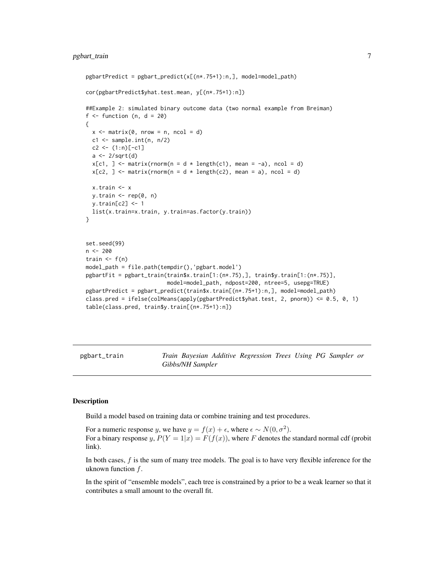#### <span id="page-6-0"></span>pgbart\_train 7

```
pgbartPredict = pgbart</u>-predict(x[(n*.75+1):n,], model=model-path)cor(pgbartPredict$yhat.test.mean, y[(n*.75+1):n])
##Example 2: simulated binary outcome data (two normal example from Breiman)
f \leftarrow function (n, d = 20)
{
 x \le matrix(0, nrow = n, ncol = d)
 c1 \leq - sample.int(n, n/2)
 c2 \le -(1:n)[-c1]a \leftarrow 2/sqrt(d)x[c1, ] \leftarrow matrix(rnorm(n = d * length(c1), mean = -a), ncol = d)x[c2, ] \le - matrix(rnorm(n = d * length(c2), mean = a), ncol = d)
 x.train <- x
 y.train <- rep(0, n)
 y.train[c2] <- 1
 list(x.train=x.train, y.train=as.factor(y.train))
}
set.seed(99)
n <- 200
train \leq f(n)
model_path = file.path(tempdir(),'pgbart.model')
pgbartFit = pgbart_train(train$x.train[1:(n*.75),], train$y.train[1:(n*.75)],
                          model=model_path, ndpost=200, ntree=5, usepg=TRUE)
pgbartPredict = pgbart_predict(train$x.train[(n*.75+1):n,], model=model_path)
class.pred = ifelse(colMeans(apply(pgbartPredict$yhat.test, 2, pnorm)) <= 0.5, 0, 1)
table(class.pred, train$y.train[(n*.75+1):n])
```
<span id="page-6-1"></span>pgbart\_train *Train Bayesian Additive Regression Trees Using PG Sampler or Gibbs/NH Sampler*

#### **Description**

Build a model based on training data or combine training and test procedures.

For a numeric response y, we have  $y = f(x) + \epsilon$ , where  $\epsilon \sim N(0, \sigma^2)$ . For a binary response y,  $P(Y = 1|x) = F(f(x))$ , where F denotes the standard normal cdf (probit link).

In both cases,  $f$  is the sum of many tree models. The goal is to have very flexible inference for the uknown function  $f$ .

In the spirit of "ensemble models", each tree is constrained by a prior to be a weak learner so that it contributes a small amount to the overall fit.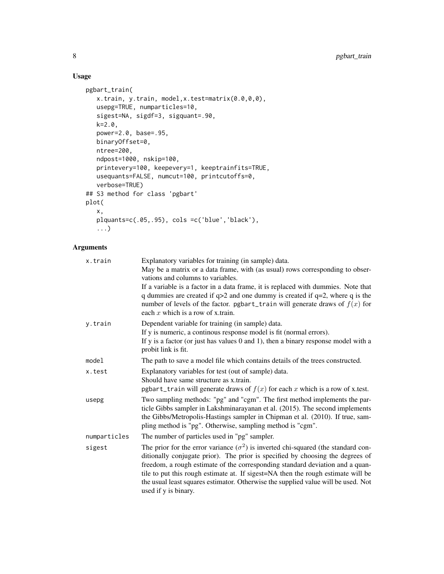### Usage

```
pgbart_train(
   x.train, y.train, model,x.test=matrix(0.0,0,0),
   usepg=TRUE, numparticles=10,
   sigest=NA, sigdf=3, sigquant=.90,
   k=2.0,
   power=2.0, base=.95,
   binaryOffset=0,
   ntree=200,
   ndpost=1000, nskip=100,
   printevery=100, keepevery=1, keeptrainfits=TRUE,
   usequants=FALSE, numcut=100, printcutoffs=0,
   verbose=TRUE)
## S3 method for class 'pgbart'
plot(
   x,
   plquants=c(.05,.95), cols =c('blue','black'),
   ...)
```
#### Arguments

| x.train      | Explanatory variables for training (in sample) data.<br>May be a matrix or a data frame, with (as usual) rows corresponding to obser-<br>vations and columns to variables.<br>If a variable is a factor in a data frame, it is replaced with dummies. Note that<br>q dummies are created if $q>2$ and one dummy is created if $q=2$ , where q is the<br>number of levels of the factor. pgbart_train will generate draws of $f(x)$ for<br>each x which is a row of x train. |
|--------------|-----------------------------------------------------------------------------------------------------------------------------------------------------------------------------------------------------------------------------------------------------------------------------------------------------------------------------------------------------------------------------------------------------------------------------------------------------------------------------|
| y.train      | Dependent variable for training (in sample) data.<br>If y is numeric, a continous response model is fit (normal errors).<br>If $y$ is a factor (or just has values 0 and 1), then a binary response model with a<br>probit link is fit.                                                                                                                                                                                                                                     |
| model        | The path to save a model file which contains details of the trees constructed.                                                                                                                                                                                                                                                                                                                                                                                              |
| x.test       | Explanatory variables for test (out of sample) data.<br>Should have same structure as x.train.<br>pgbart_train will generate draws of $f(x)$ for each x which is a row of x.test.                                                                                                                                                                                                                                                                                           |
| usepg        | Two sampling methods: "pg" and "cgm". The first method implements the par-<br>ticle Gibbs sampler in Lakshminarayanan et al. (2015). The second implements<br>the Gibbs/Metropolis-Hastings sampler in Chipman et al. (2010). If true, sam-<br>pling method is "pg". Otherwise, sampling method is "cgm".                                                                                                                                                                   |
| numparticles | The number of particles used in "pg" sampler.                                                                                                                                                                                                                                                                                                                                                                                                                               |
| sigest       | The prior for the error variance $(\sigma^2)$ is inverted chi-squared (the standard con-<br>ditionally conjugate prior). The prior is specified by choosing the degrees of<br>freedom, a rough estimate of the corresponding standard deviation and a quan-<br>tile to put this rough estimate at. If sigest=NA then the rough estimate will be<br>the usual least squares estimator. Otherwise the supplied value will be used. Not<br>used if y is binary.                |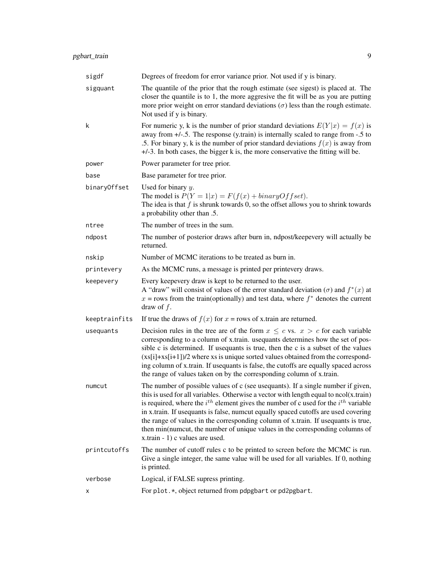| sigdf         | Degrees of freedom for error variance prior. Not used if y is binary.                                                                                                                                                                                                                                                                                                                                                                                                                                                                                                   |
|---------------|-------------------------------------------------------------------------------------------------------------------------------------------------------------------------------------------------------------------------------------------------------------------------------------------------------------------------------------------------------------------------------------------------------------------------------------------------------------------------------------------------------------------------------------------------------------------------|
| sigquant      | The quantile of the prior that the rough estimate (see sigest) is placed at. The<br>closer the quantile is to 1, the more aggresive the fit will be as you are putting<br>more prior weight on error standard deviations $(\sigma)$ less than the rough estimate.<br>Not used if y is binary.                                                                                                                                                                                                                                                                           |
| k             | For numeric y, k is the number of prior standard deviations $E(Y x) = f(x)$ is<br>away from $+/-$ .5. The response (y.train) is internally scaled to range from -.5 to<br>.5. For binary y, k is the number of prior standard deviations $f(x)$ is away from<br>$+/-3$ . In both cases, the bigger k is, the more conservative the fitting will be.                                                                                                                                                                                                                     |
| power         | Power parameter for tree prior.                                                                                                                                                                                                                                                                                                                                                                                                                                                                                                                                         |
| base          | Base parameter for tree prior.                                                                                                                                                                                                                                                                                                                                                                                                                                                                                                                                          |
| binaryOffset  | Used for binary $y$ .<br>The model is $P(Y = 1 x) = F(f(x) + binaryOffset)$ .<br>The idea is that $f$ is shrunk towards 0, so the offset allows you to shrink towards<br>a probability other than .5.                                                                                                                                                                                                                                                                                                                                                                   |
| ntree         | The number of trees in the sum.                                                                                                                                                                                                                                                                                                                                                                                                                                                                                                                                         |
| ndpost        | The number of posterior draws after burn in, ndpost/keepevery will actually be<br>returned.                                                                                                                                                                                                                                                                                                                                                                                                                                                                             |
| nskip         | Number of MCMC iterations to be treated as burn in.                                                                                                                                                                                                                                                                                                                                                                                                                                                                                                                     |
| printevery    | As the MCMC runs, a message is printed per printevery draws.                                                                                                                                                                                                                                                                                                                                                                                                                                                                                                            |
| keepevery     | Every keepevery draw is kept to be returned to the user.<br>A "draw" will consist of values of the error standard deviation ( $\sigma$ ) and $f^*(x)$ at<br>$x =$ rows from the train(optionally) and test data, where $f^*$ denotes the current<br>draw of $f$ .                                                                                                                                                                                                                                                                                                       |
| keeptrainfits | If true the draws of $f(x)$ for $x = rows$ of x.train are returned.                                                                                                                                                                                                                                                                                                                                                                                                                                                                                                     |
| usequants     | Decision rules in the tree are of the form $x \leq c$ vs. $x > c$ for each variable<br>corresponding to a column of x.train. usequants determines how the set of pos-<br>sible c is determined. If usequants is true, then the c is a subset of the values<br>$(xs[i]+xs[i+1])/2$ where xs is unique sorted values obtained from the correspond-<br>ing column of x.train. If usequants is false, the cutoffs are equally spaced across<br>the range of values taken on by the corresponding column of x.train.                                                         |
| numcut        | The number of possible values of c (see usequants). If a single number if given,<br>this is used for all variables. Otherwise a vector with length equal to ncol(x.train)<br>is required, where the $i^{th}$ element gives the number of c used for the $i^{th}$ variable<br>in x.train. If usequants is false, numcut equally spaced cutoffs are used covering<br>the range of values in the corresponding column of x.train. If usequants is true,<br>then min(numcut, the number of unique values in the corresponding columns of<br>x.train - 1) c values are used. |
| printcutoffs  | The number of cutoff rules c to be printed to screen before the MCMC is run.<br>Give a single integer, the same value will be used for all variables. If 0, nothing<br>is printed.                                                                                                                                                                                                                                                                                                                                                                                      |
| verbose       | Logical, if FALSE supress printing.                                                                                                                                                                                                                                                                                                                                                                                                                                                                                                                                     |
| х             | For plot.*, object returned from pdpgbart or pd2pgbart.                                                                                                                                                                                                                                                                                                                                                                                                                                                                                                                 |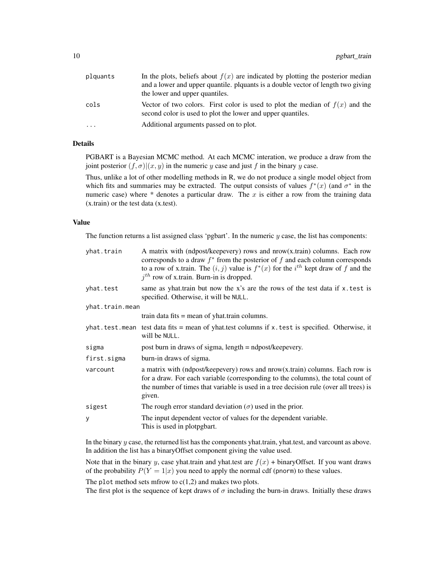| plquants | In the plots, beliefs about $f(x)$ are indicated by plotting the posterior median                                                             |
|----------|-----------------------------------------------------------------------------------------------------------------------------------------------|
|          | and a lower and upper quantile, plquants is a double vector of length two giving                                                              |
|          | the lower and upper quantiles.                                                                                                                |
| cols     | Vector of two colors. First color is used to plot the median of $f(x)$ and the<br>second color is used to plot the lower and upper quantiles. |
| $\cdots$ | Additional arguments passed on to plot.                                                                                                       |

#### Details

PGBART is a Bayesian MCMC method. At each MCMC interation, we produce a draw from the joint posterior  $(f, \sigma) | (x, y)$  in the numeric y case and just f in the binary y case.

Thus, unlike a lot of other modelling methods in R, we do not produce a single model object from which fits and summaries may be extracted. The output consists of values  $f^*(x)$  (and  $\sigma^*$  in the numeric case) where  $*$  denotes a particular draw. The x is either a row from the training data (x.train) or the test data (x.test).

#### Value

The function returns a list assigned class 'pgbart'. In the numeric  $y$  case, the list has components:

| yhat.train      | A matrix with (ndpost/keepevery) rows and $now(x, train)$ columns. Each row<br>corresponds to a draw $f^*$ from the posterior of f and each column corresponds<br>to a row of x.train. The $(i, j)$ value is $f^*(x)$ for the $i^{th}$ kept draw of f and the<br>$jth$ row of x.train. Burn-in is dropped. |
|-----------------|------------------------------------------------------------------------------------------------------------------------------------------------------------------------------------------------------------------------------------------------------------------------------------------------------------|
| yhat.test       | same as yhat.train but now the x's are the rows of the test data if x.test is<br>specified. Otherwise, it will be NULL.                                                                                                                                                                                    |
| yhat.train.mean |                                                                                                                                                                                                                                                                                                            |
|                 | train data fits $=$ mean of yhat. train columns.                                                                                                                                                                                                                                                           |
|                 | yhat. test. mean test data fits $=$ mean of yhat. test columns if x. test is specified. Otherwise, it<br>will be NULL.                                                                                                                                                                                     |
| sigma           | post burn in draws of sigma, length = ndpost/keepevery.                                                                                                                                                                                                                                                    |
| first.sigma     | burn-in draws of sigma.                                                                                                                                                                                                                                                                                    |
| varcount        | a matrix with (ndpost/keepevery) rows and $nrow(x, train)$ columns. Each row is<br>for a draw. For each variable (corresponding to the columns), the total count of<br>the number of times that variable is used in a tree decision rule (over all trees) is<br>given.                                     |
| sigest          | The rough error standard deviation ( $\sigma$ ) used in the prior.                                                                                                                                                                                                                                         |
| y               | The input dependent vector of values for the dependent variable.<br>This is used in plotpgbart.                                                                                                                                                                                                            |

In the binary y case, the returned list has the components yhat.train, yhat.test, and varcount as above. In addition the list has a binaryOffset component giving the value used.

Note that in the binary y, case yhat.train and yhat.test are  $f(x)$  + binaryOffset. If you want draws of the probability  $P(Y = 1|x)$  you need to apply the normal cdf (pnorm) to these values.

The plot method sets mfrow to  $c(1,2)$  and makes two plots.

The first plot is the sequence of kept draws of  $\sigma$  including the burn-in draws. Initially these draws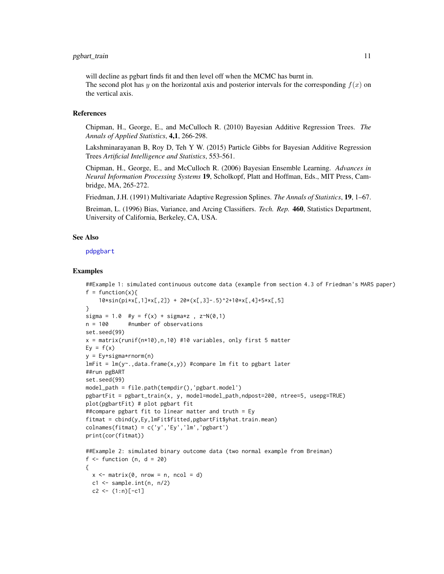#### <span id="page-10-0"></span>pgbart\_train 11

will decline as pgbart finds fit and then level off when the MCMC has burnt in.

The second plot has y on the horizontal axis and posterior intervals for the corresponding  $f(x)$  on the vertical axis.

#### References

Chipman, H., George, E., and McCulloch R. (2010) Bayesian Additive Regression Trees. *The Annals of Applied Statistics*, 4,1, 266-298.

Lakshminarayanan B, Roy D, Teh Y W. (2015) Particle Gibbs for Bayesian Additive Regression Trees *Artificial Intelligence and Statistics*, 553-561.

Chipman, H., George, E., and McCulloch R. (2006) Bayesian Ensemble Learning. *Advances in Neural Information Processing Systems* 19, Scholkopf, Platt and Hoffman, Eds., MIT Press, Cambridge, MA, 265-272.

Friedman, J.H. (1991) Multivariate Adaptive Regression Splines. *The Annals of Statistics*, 19, 1–67.

Breiman, L. (1996) Bias, Variance, and Arcing Classifiers. *Tech. Rep.* 460, Statistics Department, University of California, Berkeley, CA, USA.

#### See Also

[pdpgbart](#page-1-1)

#### Examples

```
##Example 1: simulated continuous outcome data (example from section 4.3 of Friedman's MARS paper)
f = function(x)10*sin(pixx[, 1] * x[, 2]) + 20 * (x[, 3] - .5)^2 + 10 * x[, 4] + 5 * x[, 5]}
sigma = 1.0 #y = f(x) + sigma*z, z \sim N(0,1)n = 100 #number of observations
set.seed(99)
x = matrix(runif(n*10), n, 10) #10 variables, only first 5 matter
Ey = f(x)y = Ey+sigma*rnorm(n)
lmFit = lm(y<sup>o</sup>, data frame(x, y)) #compare lm fit to pgbart later
##run pgBART
set.seed(99)
model_path = file.path(tempdir(),'pgbart.model')
pgbartFit = pgbart_train(x, y, model=model_path,ndpost=200, ntree=5, usepg=TRUE)
plot(pgbartFit) # plot pgbart fit
##compare pgbart fit to linear matter and truth = Ey
fitmat = cbind(y,Ey,lmFit$fitted,pgbartFit$yhat.train.mean)
colnames(fitmat) = c('y', 'Ey', 'lm', 'pgbart')print(cor(fitmat))
##Example 2: simulated binary outcome data (two normal example from Breiman)
f \leftarrow function (n, d = 20)
{
 x \le matrix(0, nrow = n, ncol = d)
  c1 \leq - sample.int(n, n/2)
  c2 \le -(1:n)[-c1]
```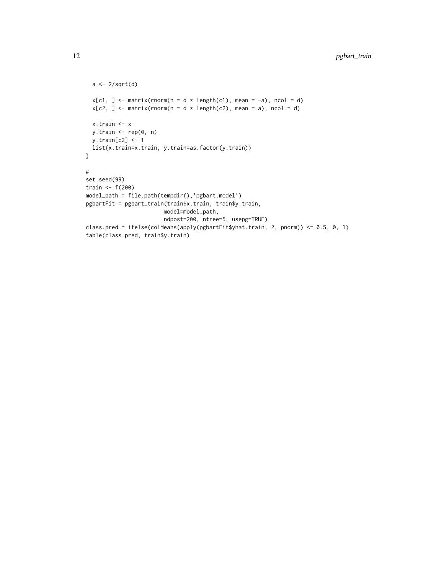```
a \leftarrow 2/sqrt(d)x[c1, ] \leftarrow matrix(rnorm(n = d * length(c1), mean = -a), ncol = d)x[c2, ] \leftarrow matrix(rnorm(n = d * length(c2), mean = a), ncol = d)x.train <- x
 y.train <- rep(0, n)
 y.train[c2] <- 1
 list(x.train=x.train, y.train=as.factor(y.train))
}
#
set.seed(99)
train <- f(200)
model_path = file.path(tempdir(),'pgbart.model')
pgbartFit = pgbart_train(train$x.train, train$y.train,
                        model=model_path,
                        ndpost=200, ntree=5, usepg=TRUE)
class.pred = ifelse(colMeans(apply(pgbartFit$yhat.train, 2, pnorm)) <= 0.5, 0, 1)
table(class.pred, train$y.train)
```